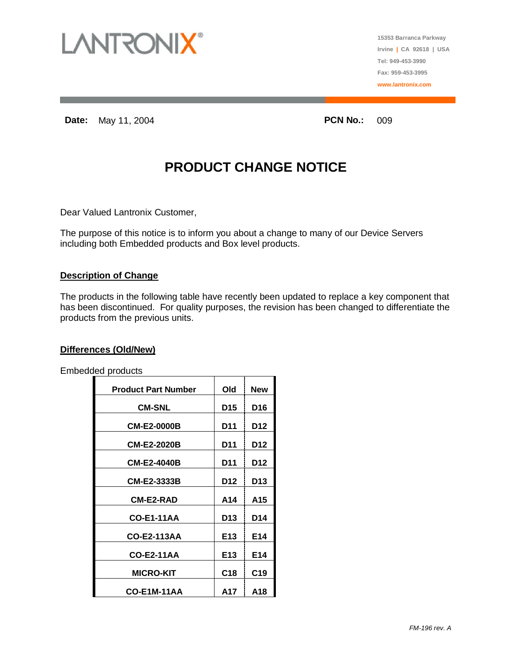

**15353 Barranca Parkway Irvine | CA 92618 | USA Tel: 949-453-3990 Fax: 959-453-3995 www.lantronix.com**

**Date:** May 11, 2004 **PCN No.:** 009

## **PRODUCT CHANGE NOTICE**

Dear Valued Lantronix Customer,

The purpose of this notice is to inform you about a change to many of our Device Servers including both Embedded products and Box level products.

#### **Description of Change**

The products in the following table have recently been updated to replace a key component that has been discontinued. For quality purposes, the revision has been changed to differentiate the products from the previous units.

#### **Differences (Old/New)**

Embedded products

| <b>Product Part Number</b> | Old             | <b>New</b>      |
|----------------------------|-----------------|-----------------|
| <b>CM-SNL</b>              | D <sub>15</sub> | D <sub>16</sub> |
| <b>CM-E2-0000B</b>         | D11             | D <sub>12</sub> |
| <b>CM-E2-2020B</b>         | D11             | D12             |
| <b>CM-E2-4040B</b>         | D11             | D12             |
| <b>CM-E2-3333B</b>         | D12             | D13             |
| <b>CM-E2-RAD</b>           | A14             | A15             |
| <b>CO-E1-11AA</b>          | D <sub>13</sub> | D <sub>14</sub> |
| CO-E2-113AA                | E <sub>13</sub> | E <sub>14</sub> |
| <b>CO-E2-11AA</b>          | E <sub>13</sub> | E14             |
| <b>MICRO-KIT</b>           | C <sub>18</sub> | C <sub>19</sub> |
| <b>CO-E1M-11AA</b>         | A17             | A18             |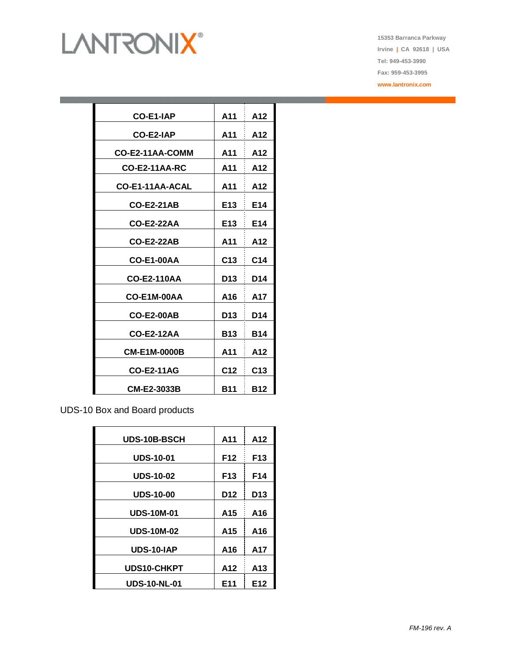# **LANTRONIX®**

**15353 Barranca Parkway Irvine | CA 92618 | USA Tel: 949-453-3990 Fax: 959-453-3995 www.lantronix.com**

| <b>CO-E1-IAP</b>     | A11             | A12             |
|----------------------|-----------------|-----------------|
| CO-E2-IAP            | A11             | A12             |
| CO-E2-11AA-COMM      | A11             | A12             |
| <b>CO-E2-11AA-RC</b> | A11             | A12             |
| CO-E1-11AA-ACAL      | A11             | A12             |
| <b>CO-E2-21AB</b>    | E13             | E14             |
| <b>CO-E2-22AA</b>    | E13             | E14             |
| <b>CO-E2-22AB</b>    | A11             | A12             |
|                      |                 |                 |
| <b>CO-E1-00AA</b>    | C <sub>13</sub> | C14             |
| <b>CO-E2-110AA</b>   | D13             | D14             |
| CO-E1M-00AA          | A16             | A17             |
| <b>CO-E2-00AB</b>    | D13             | D14             |
| <b>CO-E2-12AA</b>    | <b>B13</b>      | <b>B14</b>      |
| <b>CM-E1M-0000B</b>  | A11             | A12             |
| <b>CO-E2-11AG</b>    | C <sub>12</sub> | C <sub>13</sub> |
|                      |                 |                 |
| <b>CM-E2-3033B</b>   | B11             | <b>B12</b>      |

UDS-10 Box and Board products

| UDS-10B-BSCH        | A11             | A12             |
|---------------------|-----------------|-----------------|
| <b>UDS-10-01</b>    | F <sub>12</sub> | F13             |
| <b>UDS-10-02</b>    | F <sub>13</sub> | F14             |
| <b>UDS-10-00</b>    | D <sub>12</sub> | D13             |
| <b>UDS-10M-01</b>   | A15             | A16             |
| <b>UDS-10M-02</b>   | A <sub>15</sub> | A16             |
| UDS-10-IAP          | A16             | A17             |
| <b>UDS10-CHKPT</b>  | A12             | A13             |
| <b>UDS-10-NL-01</b> | E <sub>11</sub> | E <sub>12</sub> |